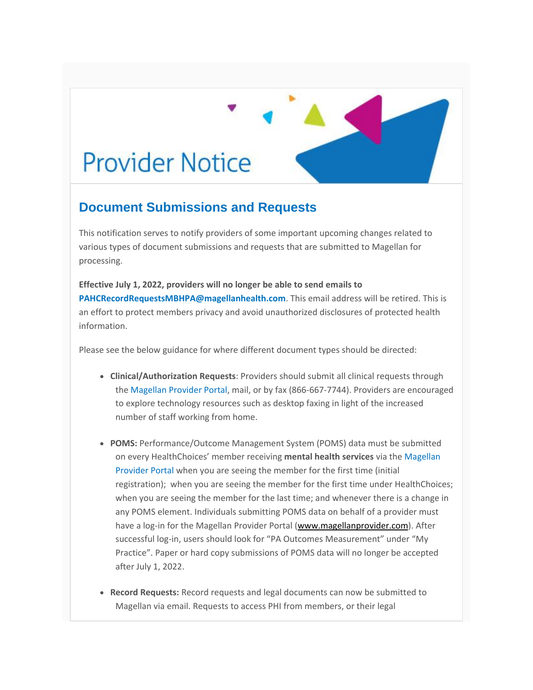## **Provider Notice**

## **Document Submissions and Requests**

This notification serves to notify providers of some important upcoming changes related to various types of document submissions and requests that are submitted to Magellan for processing.

**Effective July 1, 2022, providers will no longer be able to send emails to [PAHCRecordRequestsMBHPA@magellanhealth.com](mailto:PAHCRecordRequestsMBHPA@magellanhealth.com)**. This email address will be retired. This is an effort to protect members privacy and avoid unauthorized disclosures of protected health information.

Please see the below guidance for where different document types should be directed:

- **Clinical/Authorization Requests**: Providers should submit all clinical requests through the [Magellan Provider Portal,](https://urldefense.com/v3/__https:/www.magellanprovider.com/MagellanProvider/do/Login__;!!A_Yfr0wlxos!04MywjkrAhF-BWLwzQp_ftyG5e6kktMTw_eAInpKrZqYkxkCHTEKZu5_h8v_Z2k4lYzrWvV7-F-coZuIL10zEuSi$) mail, or by fax (866-667-7744). Providers are encouraged to explore technology resources such as desktop faxing in light of the increased number of staff working from home.
- **POMS:** Performance/Outcome Management System (POMS) data must be submitted on every HealthChoices' member receiving **mental health services** via th[e Magellan](https://urldefense.com/v3/__https:/www.magellanprovider.com/MagellanProvider/do/Login__;!!A_Yfr0wlxos!04MywjkrAhF-BWLwzQp_ftyG5e6kktMTw_eAInpKrZqYkxkCHTEKZu5_h8v_Z2k4lYzrWvV7-F-coZuIL10zEuSi$)  [Provider Portal](https://urldefense.com/v3/__https:/www.magellanprovider.com/MagellanProvider/do/Login__;!!A_Yfr0wlxos!04MywjkrAhF-BWLwzQp_ftyG5e6kktMTw_eAInpKrZqYkxkCHTEKZu5_h8v_Z2k4lYzrWvV7-F-coZuIL10zEuSi$) when you are seeing the member for the first time (initial registration); when you are seeing the member for the first time under HealthChoices; when you are seeing the member for the last time; and whenever there is a change in any POMS element. Individuals submitting POMS data on behalf of a provider must have a log-in for the Magellan Provider Portal [\(www.magellanprovider.com\)](https://urldefense.com/v3/__http:/www.magellanprovider.com__;!!A_Yfr0wlxos!04MywjkrAhF-BWLwzQp_ftyG5e6kktMTw_eAInpKrZqYkxkCHTEKZu5_h8v_Z2k4lYzrWvV7-F-coZuIL0VCD-DQ$). After successful log-in, users should look for "PA Outcomes Measurement" under "My Practice". Paper or hard copy submissions of POMS data will no longer be accepted after July 1, 2022.
- **Record Requests:** Record requests and legal documents can now be submitted to Magellan via email. Requests to access PHI from members, or their legal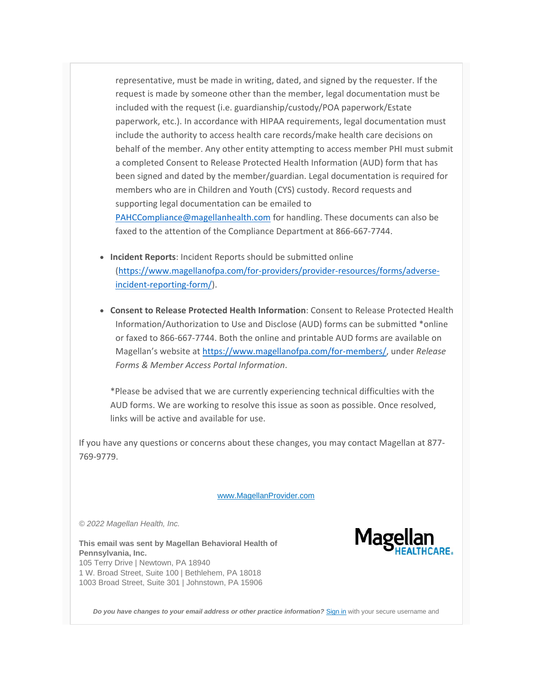representative, must be made in writing, dated, and signed by the requester. If the request is made by someone other than the member, legal documentation must be included with the request (i.e. guardianship/custody/POA paperwork/Estate paperwork, etc.). In accordance with HIPAA requirements, legal documentation must include the authority to access health care records/make health care decisions on behalf of the member. Any other entity attempting to access member PHI must submit a completed Consent to Release Protected Health Information (AUD) form that has been signed and dated by the member/guardian. Legal documentation is required for members who are in Children and Youth (CYS) custody. Record requests and supporting legal documentation can be emailed to [PAHCCompliance@magellanhealth.com](mailto:PAHCCompliance@magellanhealth.com) for handling. These documents can also be faxed to the attention of the Compliance Department at 866-667-7744.

- **Incident Reports**: Incident Reports should be submitted online [\(https://www.magellanofpa.com/for-providers/provider-resources/forms/adverse](https://urldefense.com/v3/__https:/www.magellanofpa.com/for-providers/provider-resources/forms/adverse-incident-reporting-form/__;!!A_Yfr0wlxos!04MywjkrAhF-BWLwzQp_ftyG5e6kktMTw_eAInpKrZqYkxkCHTEKZu5_h8v_Z2k4lYzrWvV7-F-coZuIL2RtmjeF$)[incident-reporting-form/\)](https://urldefense.com/v3/__https:/www.magellanofpa.com/for-providers/provider-resources/forms/adverse-incident-reporting-form/__;!!A_Yfr0wlxos!04MywjkrAhF-BWLwzQp_ftyG5e6kktMTw_eAInpKrZqYkxkCHTEKZu5_h8v_Z2k4lYzrWvV7-F-coZuIL2RtmjeF$).
- **Consent to Release Protected Health Information**: Consent to Release Protected Health Information/Authorization to Use and Disclose (AUD) forms can be submitted \*online or faxed to 866-667-7744. Both the online and printable AUD forms are available on Magellan's website at [https://www.magellanofpa.com/for-members/,](https://urldefense.com/v3/__https:/www.magellanofpa.com/for-members/__;!!A_Yfr0wlxos!04MywjkrAhF-BWLwzQp_ftyG5e6kktMTw_eAInpKrZqYkxkCHTEKZu5_h8v_Z2k4lYzrWvV7-F-coZuIL2WtpHNz$) under *Release Forms & Member Access Portal Information*.

\*Please be advised that we are currently experiencing technical difficulties with the AUD forms. We are working to resolve this issue as soon as possible. Once resolved, links will be active and available for use.

If you have any questions or concerns about these changes, you may contact Magellan at 877- 769-9779.

[www.MagellanProvider.com](https://urldefense.com/v3/__http:/www.MagellanProvider.com__;!!A_Yfr0wlxos!04MywjkrAhF-BWLwzQp_ftyG5e6kktMTw_eAInpKrZqYkxkCHTEKZu5_h8v_Z2k4lYzrWvV7-F-coZuIL5BO-uiR$)

*© 2022 Magellan Health, Inc.*

**This email was sent by Magellan Behavioral Health of Pennsylvania, Inc.** 105 Terry Drive | Newtown, PA 18940 1 W. Broad Street, Suite 100 | Bethlehem, PA 18018 1003 Broad Street, Suite 301 | Johnstown, PA 15906



Do you have changes to your email address or other practice information? [Sign in](https://urldefense.com/v3/__https:/www.magellanprovider.com/MagellanProvider/do/Login__;!!A_Yfr0wlxos!04MywjkrAhF-BWLwzQp_ftyG5e6kktMTw_eAInpKrZqYkxkCHTEKZu5_h8v_Z2k4lYzrWvV7-F-coZuIL10zEuSi$) with your secure username and